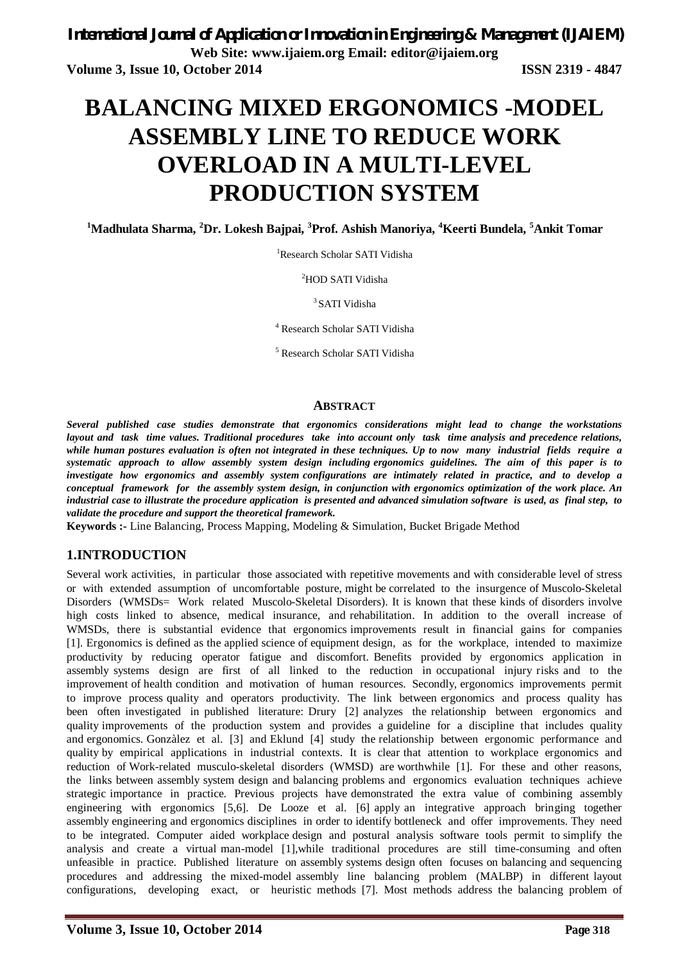# **BALANCING MIXED ERGONOMICS -MODEL ASSEMBLY LINE TO REDUCE WORK OVERLOAD IN A MULTI-LEVEL PRODUCTION SYSTEM**

**<sup>1</sup>Madhulata Sharma, <sup>2</sup>Dr. Lokesh Bajpai, <sup>3</sup>Prof. Ashish Manoriya, <sup>4</sup>Keerti Bundela, <sup>5</sup>Ankit Tomar**

<sup>1</sup>Research Scholar SATI Vidisha

<sup>2</sup>HOD SATI Vidisha

<sup>3</sup> SATI Vidisha

<sup>4</sup> Research Scholar SATI Vidisha

<sup>5</sup> Research Scholar SATI Vidisha

#### **ABSTRACT**

*Several published case studies demonstrate that ergonomics considerations might lead to change the workstations layout and task time values. Traditional procedures take into account only task time analysis and precedence relations, while human postures evaluation is often not integrated in these techniques. Up to now many industrial fields require a systematic approach to allow assembly system design including ergonomics guidelines. The aim of this paper is to investigate how ergonomics and assembly system configurations are intimately related in practice, and to develop a conceptual framework for the assembly system design, in conjunction with ergonomics optimization of the work place. An industrial case to illustrate the procedure application is presented and advanced simulation software is used, as final step, to validate the procedure and support the theoretical framework.*

**Keywords :-** Line Balancing, Process Mapping, Modeling & Simulation, Bucket Brigade Method

## **1.INTRODUCTION**

Several work activities, in particular those associated with repetitive movements and with considerable level of stress or with extended assumption of uncomfortable posture, might be correlated to the insurgence of Muscolo-Skeletal Disorders (WMSDs= Work related Muscolo-Skeletal Disorders). It is known that these kinds of disorders involve high costs linked to absence, medical insurance, and rehabilitation. In addition to the overall increase of WMSDs, there is substantial evidence that ergonomics improvements result in financial gains for companies [1]. Ergonomics is defined as the applied science of equipment design, as for the workplace, intended to maximize productivity by reducing operator fatigue and discomfort. Benefits provided by ergonomics application in assembly systems design are first of all linked to the reduction in occupational injury risks and to the improvement of health condition and motivation of human resources. Secondly, ergonomics improvements permit to improve process quality and operators productivity. The link between ergonomics and process quality has been often investigated in published literature: Drury [2] analyzes the relationship between ergonomics and quality improvements of the production system and provides a guideline for a discipline that includes quality and ergonomics. Gonzàlez et al. [3] and Eklund [4] study the relationship between ergonomic performance and quality by empirical applications in industrial contexts. It is clear that attention to workplace ergonomics and reduction of Work-related musculo-skeletal disorders (WMSD) are worthwhile [1]. For these and other reasons, the links between assembly system design and balancing problems and ergonomics evaluation techniques achieve strategic importance in practice. Previous projects have demonstrated the extra value of combining assembly engineering with ergonomics [5,6]. De Looze et al. [6] apply an integrative approach bringing together assembly engineering and ergonomics disciplines in order to identify bottleneck and offer improvements. They need to be integrated. Computer aided workplace design and postural analysis software tools permit to simplify the analysis and create a virtual man-model [1],while traditional procedures are still time-consuming and often unfeasible in practice. Published literature on assembly systems design often focuses on balancing and sequencing procedures and addressing the mixed-model assembly line balancing problem (MALBP) in different layout configurations, developing exact, or heuristic methods [7]. Most methods address the balancing problem of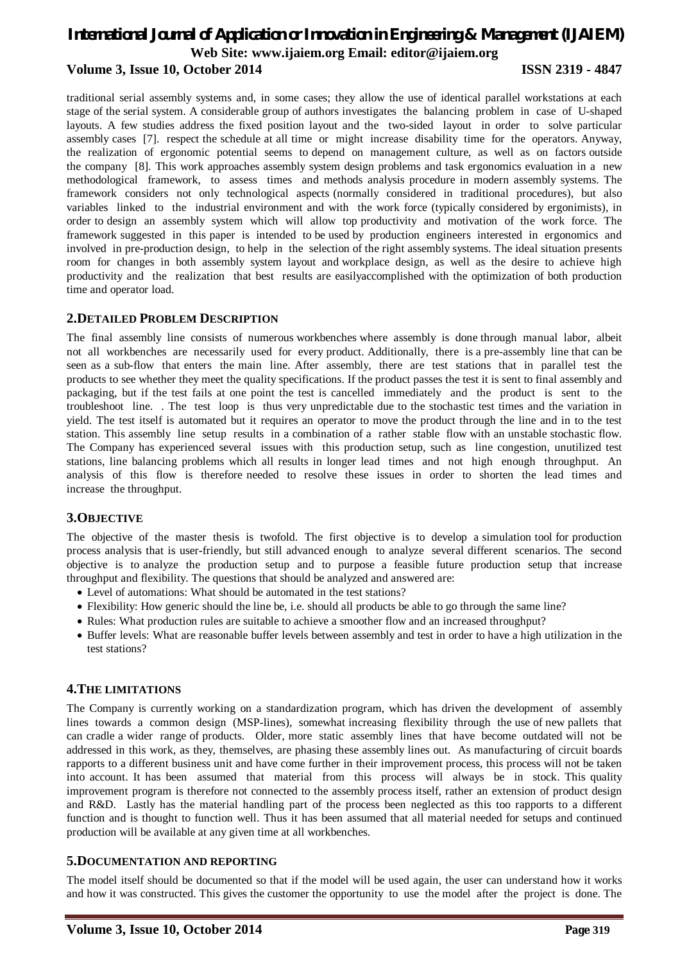traditional serial assembly systems and, in some cases; they allow the use of identical parallel workstations at each stage of the serial system. A considerable group of authors investigates the balancing problem in case of U-shaped layouts. A few studies address the fixed position layout and the two-sided layout in order to solve particular assembly cases [7]. respect the schedule at all time or might increase disability time for the operators. Anyway, the realization of ergonomic potential seems to depend on management culture, as well as on factors outside the company [8]. This work approaches assembly system design problems and task ergonomics evaluation in a new methodological framework, to assess times and methods analysis procedure in modern assembly systems. The framework considers not only technological aspects (normally considered in traditional procedures), but also variables linked to the industrial environment and with the work force (typically considered by ergonimists), in order to design an assembly system which will allow top productivity and motivation of the work force. The framework suggested in this paper is intended to be used by production engineers interested in ergonomics and involved in pre-production design, to help in the selection of the right assembly systems. The ideal situation presents room for changes in both assembly system layout and workplace design, as well as the desire to achieve high productivity and the realization that best results are easilyaccomplished with the optimization of both production time and operator load.

## **2.DETAILED PROBLEM DESCRIPTION**

The final assembly line consists of numerous workbenches where assembly is done through manual labor, albeit not all workbenches are necessarily used for every product. Additionally, there is a pre-assembly line that can be seen as a sub-flow that enters the main line. After assembly, there are test stations that in parallel test the products to see whether they meet the quality specifications. If the product passes the test it is sent to final assembly and packaging, but if the test fails at one point the test is cancelled immediately and the product is sent to the troubleshoot line. . The test loop is thus very unpredictable due to the stochastic test times and the variation in yield. The test itself is automated but it requires an operator to move the product through the line and in to the test station. This assembly line setup results in a combination of a rather stable flow with an unstable stochastic flow. The Company has experienced several issues with this production setup, such as line congestion, unutilized test stations, line balancing problems which all results in longer lead times and not high enough throughput. An analysis of this flow is therefore needed to resolve these issues in order to shorten the lead times and increase the throughput.

### **3.OBJECTIVE**

The objective of the master thesis is twofold. The first objective is to develop a simulation tool for production process analysis that is user-friendly, but still advanced enough to analyze several different scenarios. The second objective is to analyze the production setup and to purpose a feasible future production setup that increase throughput and flexibility. The questions that should be analyzed and answered are:

- Level of automations: What should be automated in the test stations?
- Flexibility: How generic should the line be, i.e. should all products be able to go through the same line?
- Rules: What production rules are suitable to achieve a smoother flow and an increased throughput?
- Buffer levels: What are reasonable buffer levels between assembly and test in order to have a high utilization in the test stations?

### **4.THE LIMITATIONS**

The Company is currently working on a standardization program, which has driven the development of assembly lines towards a common design (MSP-lines), somewhat increasing flexibility through the use of new pallets that can cradle a wider range of products. Older, more static assembly lines that have become outdated will not be addressed in this work, as they, themselves, are phasing these assembly lines out. As manufacturing of circuit boards rapports to a different business unit and have come further in their improvement process, this process will not be taken into account. It has been assumed that material from this process will always be in stock. This quality improvement program is therefore not connected to the assembly process itself, rather an extension of product design and R&D. Lastly has the material handling part of the process been neglected as this too rapports to a different function and is thought to function well. Thus it has been assumed that all material needed for setups and continued production will be available at any given time at all workbenches.

### **5.DOCUMENTATION AND REPORTING**

The model itself should be documented so that if the model will be used again, the user can understand how it works and how it was constructed. This gives the customer the opportunity to use the model after the project is done. The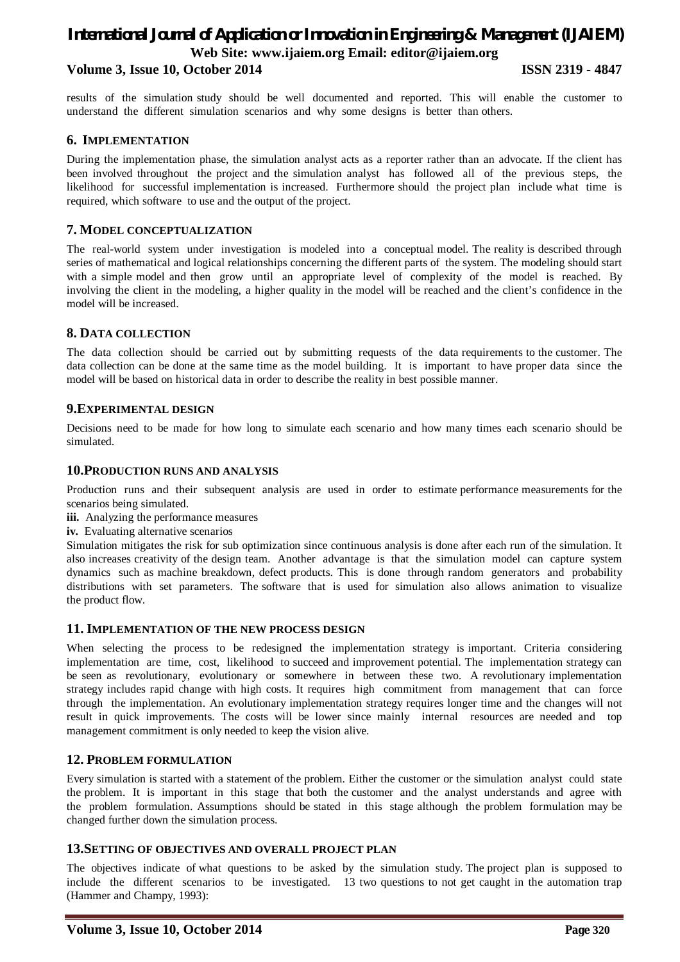results of the simulation study should be well documented and reported. This will enable the customer to understand the different simulation scenarios and why some designs is better than others.

### **6. IMPLEMENTATION**

During the implementation phase, the simulation analyst acts as a reporter rather than an advocate. If the client has been involved throughout the project and the simulation analyst has followed all of the previous steps, the likelihood for successful implementation is increased. Furthermore should the project plan include what time is required, which software to use and the output of the project.

### **7. MODEL CONCEPTUALIZATION**

The real-world system under investigation is modeled into a conceptual model. The reality is described through series of mathematical and logical relationships concerning the different parts of the system. The modeling should start with a simple model and then grow until an appropriate level of complexity of the model is reached. By involving the client in the modeling, a higher quality in the model will be reached and the client's confidence in the model will be increased.

#### **8. DATA COLLECTION**

The data collection should be carried out by submitting requests of the data requirements to the customer. The data collection can be done at the same time as the model building. It is important to have proper data since the model will be based on historical data in order to describe the reality in best possible manner.

#### **9.EXPERIMENTAL DESIGN**

Decisions need to be made for how long to simulate each scenario and how many times each scenario should be simulated.

#### **10.PRODUCTION RUNS AND ANALYSIS**

Production runs and their subsequent analysis are used in order to estimate performance measurements for the scenarios being simulated.

- **iii.** Analyzing the performance measures
- **iv.** Evaluating alternative scenarios

Simulation mitigates the risk for sub optimization since continuous analysis is done after each run of the simulation. It also increases creativity of the design team. Another advantage is that the simulation model can capture system dynamics such as machine breakdown, defect products. This is done through random generators and probability distributions with set parameters. The software that is used for simulation also allows animation to visualize the product flow.

#### **11. IMPLEMENTATION OF THE NEW PROCESS DESIGN**

When selecting the process to be redesigned the implementation strategy is important. Criteria considering implementation are time, cost, likelihood to succeed and improvement potential. The implementation strategy can be seen as revolutionary, evolutionary or somewhere in between these two. A revolutionary implementation strategy includes rapid change with high costs. It requires high commitment from management that can force through the implementation. An evolutionary implementation strategy requires longer time and the changes will not result in quick improvements. The costs will be lower since mainly internal resources are needed and top management commitment is only needed to keep the vision alive.

#### **12. PROBLEM FORMULATION**

Every simulation is started with a statement of the problem. Either the customer or the simulation analyst could state the problem. It is important in this stage that both the customer and the analyst understands and agree with the problem formulation. Assumptions should be stated in this stage although the problem formulation may be changed further down the simulation process.

#### **13.SETTING OF OBJECTIVES AND OVERALL PROJECT PLAN**

The objectives indicate of what questions to be asked by the simulation study. The project plan is supposed to include the different scenarios to be investigated. 13 two questions to not get caught in the automation trap (Hammer and Champy, 1993):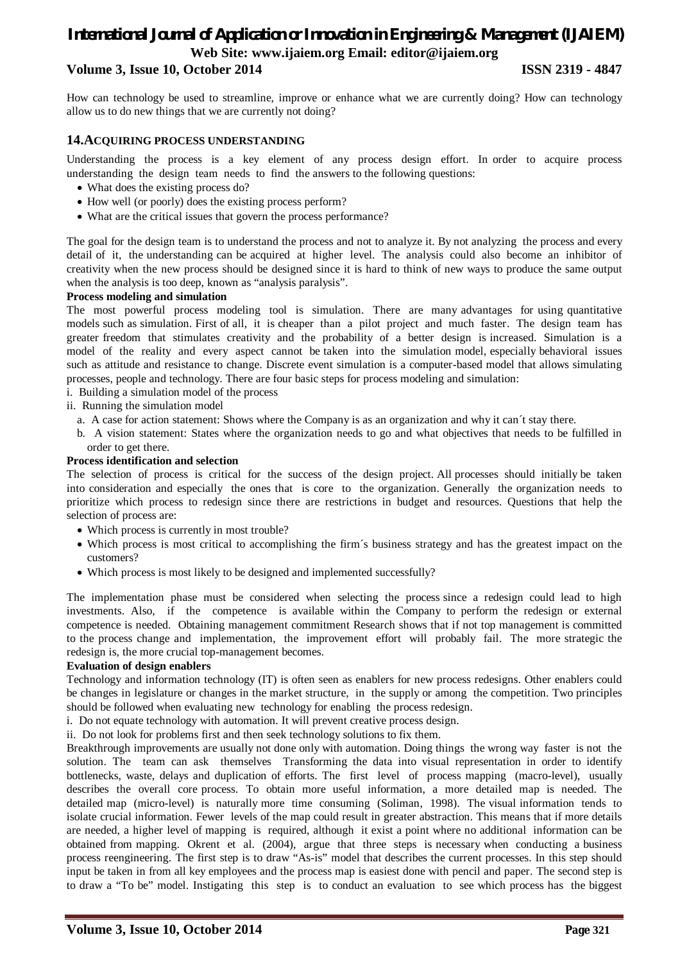# *International Journal of Application or Innovation in Engineering & Management (IJAIEM)* **Web Site: www.ijaiem.org Email: editor@ijaiem.org**

## **Volume 3, Issue 10, October 2014 ISSN 2319 - 4847**

How can technology be used to streamline, improve or enhance what we are currently doing? How can technology allow us to do new things that we are currently not doing?

#### **14.ACQUIRING PROCESS UNDERSTANDING**

Understanding the process is a key element of any process design effort. In order to acquire process understanding the design team needs to find the answers to the following questions:

- What does the existing process do?
- How well (or poorly) does the existing process perform?
- What are the critical issues that govern the process performance?

The goal for the design team is to understand the process and not to analyze it. By not analyzing the process and every detail of it, the understanding can be acquired at higher level. The analysis could also become an inhibitor of creativity when the new process should be designed since it is hard to think of new ways to produce the same output when the analysis is too deep, known as "analysis paralysis".

#### **Process modeling and simulation**

The most powerful process modeling tool is simulation. There are many advantages for using quantitative models such as simulation. First of all, it is cheaper than a pilot project and much faster. The design team has greater freedom that stimulates creativity and the probability of a better design is increased. Simulation is a model of the reality and every aspect cannot be taken into the simulation model, especially behavioral issues such as attitude and resistance to change. Discrete event simulation is a computer-based model that allows simulating processes, people and technology. There are four basic steps for process modeling and simulation:

i. Building a simulation model of the process

- ii. Running the simulation model
	- a. A case for action statement: Shows where the Company is as an organization and why it can´t stay there.
	- b. A vision statement: States where the organization needs to go and what objectives that needs to be fulfilled in order to get there.

#### **Process identification and selection**

The selection of process is critical for the success of the design project. All processes should initially be taken into consideration and especially the ones that is core to the organization. Generally the organization needs to prioritize which process to redesign since there are restrictions in budget and resources. Questions that help the selection of process are:

- Which process is currently in most trouble?
- Which process is most critical to accomplishing the firm´s business strategy and has the greatest impact on the customers?
- Which process is most likely to be designed and implemented successfully?

The implementation phase must be considered when selecting the process since a redesign could lead to high investments. Also, if the competence is available within the Company to perform the redesign or external competence is needed. Obtaining management commitment Research shows that if not top management is committed to the process change and implementation, the improvement effort will probably fail. The more strategic the redesign is, the more crucial top-management becomes.

#### **Evaluation of design enablers**

Technology and information technology (IT) is often seen as enablers for new process redesigns. Other enablers could be changes in legislature or changes in the market structure, in the supply or among the competition. Two principles should be followed when evaluating new technology for enabling the process redesign.

i. Do not equate technology with automation. It will prevent creative process design.

ii. Do not look for problems first and then seek technology solutions to fix them.

Breakthrough improvements are usually not done only with automation. Doing things the wrong way faster is not the solution. The team can ask themselves Transforming the data into visual representation in order to identify bottlenecks, waste, delays and duplication of efforts. The first level of process mapping (macro-level), usually describes the overall core process. To obtain more useful information, a more detailed map is needed. The detailed map (micro-level) is naturally more time consuming (Soliman, 1998). The visual information tends to isolate crucial information. Fewer levels of the map could result in greater abstraction. This means that if more details are needed, a higher level of mapping is required, although it exist a point where no additional information can be obtained from mapping. Okrent et al. (2004), argue that three steps is necessary when conducting a business process reengineering. The first step is to draw "As-is" model that describes the current processes. In this step should input be taken in from all key employees and the process map is easiest done with pencil and paper. The second step is to draw a "To be" model. Instigating this step is to conduct an evaluation to see which process has the biggest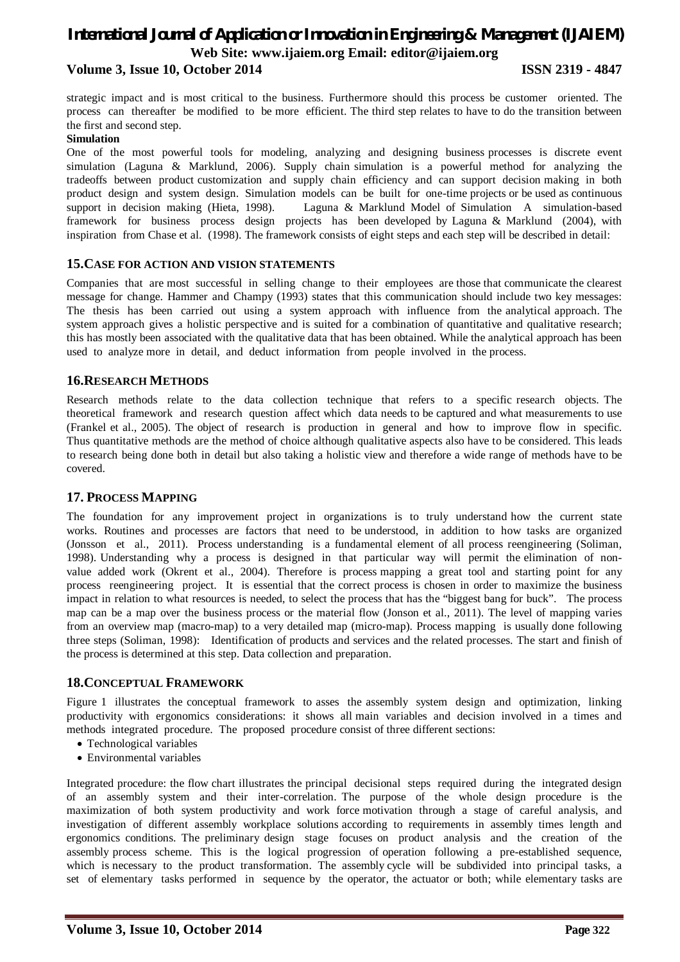strategic impact and is most critical to the business. Furthermore should this process be customer oriented. The process can thereafter be modified to be more efficient. The third step relates to have to do the transition between the first and second step.

#### **Simulation**

One of the most powerful tools for modeling, analyzing and designing business processes is discrete event simulation (Laguna & Marklund, 2006). Supply chain simulation is a powerful method for analyzing the tradeoffs between product customization and supply chain efficiency and can support decision making in both product design and system design. Simulation models can be built for one-time projects or be used as continuous support in decision making (Hieta, 1998). Laguna & Marklund Model of Simulation A simulation-based framework for business process design projects has been developed by Laguna & Marklund (2004), with inspiration from Chase et al. (1998). The framework consists of eight steps and each step will be described in detail:

#### **15.CASE FOR ACTION AND VISION STATEMENTS**

Companies that are most successful in selling change to their employees are those that communicate the clearest message for change. Hammer and Champy (1993) states that this communication should include two key messages: The thesis has been carried out using a system approach with influence from the analytical approach. The system approach gives a holistic perspective and is suited for a combination of quantitative and qualitative research; this has mostly been associated with the qualitative data that has been obtained. While the analytical approach has been used to analyze more in detail, and deduct information from people involved in the process.

### **16.RESEARCH METHODS**

Research methods relate to the data collection technique that refers to a specific research objects. The theoretical framework and research question affect which data needs to be captured and what measurements to use (Frankel et al., 2005). The object of research is production in general and how to improve flow in specific. Thus quantitative methods are the method of choice although qualitative aspects also have to be considered. This leads to research being done both in detail but also taking a holistic view and therefore a wide range of methods have to be covered.

### **17. PROCESS MAPPING**

The foundation for any improvement project in organizations is to truly understand how the current state works. Routines and processes are factors that need to be understood, in addition to how tasks are organized (Jonsson et al., 2011). Process understanding is a fundamental element of all process reengineering (Soliman, 1998). Understanding why a process is designed in that particular way will permit the elimination of nonvalue added work (Okrent et al., 2004). Therefore is process mapping a great tool and starting point for any process reengineering project. It is essential that the correct process is chosen in order to maximize the business impact in relation to what resources is needed, to select the process that has the "biggest bang for buck". The process map can be a map over the business process or the material flow (Jonson et al., 2011). The level of mapping varies from an overview map (macro-map) to a very detailed map (micro-map). Process mapping is usually done following three steps (Soliman, 1998): Identification of products and services and the related processes. The start and finish of the process is determined at this step. Data collection and preparation.

### **18.CONCEPTUAL FRAMEWORK**

Figure 1 illustrates the conceptual framework to asses the assembly system design and optimization, linking productivity with ergonomics considerations: it shows all main variables and decision involved in a times and methods integrated procedure. The proposed procedure consist of three different sections:

- Technological variables
- Environmental variables

Integrated procedure: the flow chart illustrates the principal decisional steps required during the integrated design of an assembly system and their inter-correlation. The purpose of the whole design procedure is the maximization of both system productivity and work force motivation through a stage of careful analysis, and investigation of different assembly workplace solutions according to requirements in assembly times length and ergonomics conditions. The preliminary design stage focuses on product analysis and the creation of the assembly process scheme. This is the logical progression of operation following a pre-established sequence, which is necessary to the product transformation. The assembly cycle will be subdivided into principal tasks, a set of elementary tasks performed in sequence by the operator, the actuator or both; while elementary tasks are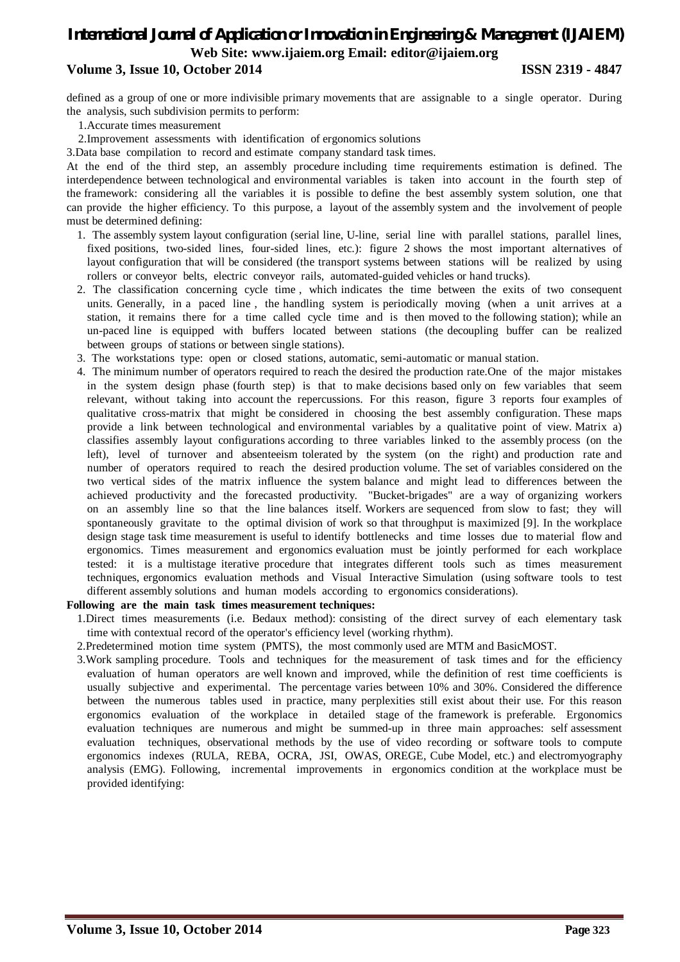# *International Journal of Application or Innovation in Engineering & Management (IJAIEM)* **Web Site: www.ijaiem.org Email: editor@ijaiem.org**

## **Volume 3, Issue 10, October 2014 ISSN 2319 - 4847**

defined as a group of one or more indivisible primary movements that are assignable to a single operator. During the analysis, such subdivision permits to perform:

- 1.Accurate times measurement
- 2.Improvement assessments with identification of ergonomics solutions

3.Data base compilation to record and estimate company standard task times.

At the end of the third step, an assembly procedure including time requirements estimation is defined. The interdependence between technological and environmental variables is taken into account in the fourth step of the framework: considering all the variables it is possible to define the best assembly system solution, one that can provide the higher efficiency. To this purpose, a layout of the assembly system and the involvement of people must be determined defining:

- 1. The assembly system layout configuration (serial line, U-line, serial line with parallel stations, parallel lines, fixed positions, two-sided lines, four-sided lines, etc.): figure 2 shows the most important alternatives of layout configuration that will be considered (the transport systems between stations will be realized by using rollers or conveyor belts, electric conveyor rails, automated-guided vehicles or hand trucks).
- 2. The classification concerning cycle time , which indicates the time between the exits of two consequent units. Generally, in a paced line , the handling system is periodically moving (when a unit arrives at a station, it remains there for a time called cycle time and is then moved to the following station); while an un-paced line is equipped with buffers located between stations (the decoupling buffer can be realized between groups of stations or between single stations).
- 3. The workstations type: open or closed stations, automatic, semi-automatic or manual station.
- 4. The minimum number of operators required to reach the desired the production rate.One of the major mistakes in the system design phase (fourth step) is that to make decisions based only on few variables that seem relevant, without taking into account the repercussions. For this reason, figure 3 reports four examples of qualitative cross-matrix that might be considered in choosing the best assembly configuration. These maps provide a link between technological and environmental variables by a qualitative point of view. Matrix a) classifies assembly layout configurations according to three variables linked to the assembly process (on the left), level of turnover and absenteeism tolerated by the system (on the right) and production rate and number of operators required to reach the desired production volume. The set of variables considered on the two vertical sides of the matrix influence the system balance and might lead to differences between the achieved productivity and the forecasted productivity. "Bucket-brigades" are a way of organizing workers on an assembly line so that the line balances itself. Workers are sequenced from slow to fast; they will spontaneously gravitate to the optimal division of work so that throughput is maximized [9]. In the workplace design stage task time measurement is useful to identify bottlenecks and time losses due to material flow and ergonomics. Times measurement and ergonomics evaluation must be jointly performed for each workplace tested: it is a multistage iterative procedure that integrates different tools such as times measurement techniques, ergonomics evaluation methods and Visual Interactive Simulation (using software tools to test different assembly solutions and human models according to ergonomics considerations).

#### **Following are the main task times measurement techniques:**

- 1.Direct times measurements (i.e. Bedaux method): consisting of the direct survey of each elementary task time with contextual record of the operator's efficiency level (working rhythm).
- 2.Predetermined motion time system (PMTS), the most commonly used are MTM and BasicMOST.
- 3.Work sampling procedure. Tools and techniques for the measurement of task times and for the efficiency evaluation of human operators are well known and improved, while the definition of rest time coefficients is usually subjective and experimental. The percentage varies between 10% and 30%. Considered the difference between the numerous tables used in practice, many perplexities still exist about their use. For this reason ergonomics evaluation of the workplace in detailed stage of the framework is preferable. Ergonomics evaluation techniques are numerous and might be summed-up in three main approaches: self assessment evaluation techniques, observational methods by the use of video recording or software tools to compute ergonomics indexes (RULA, REBA, OCRA, JSI, OWAS, OREGE, Cube Model, etc.) and electromyography analysis (EMG). Following, incremental improvements in ergonomics condition at the workplace must be provided identifying: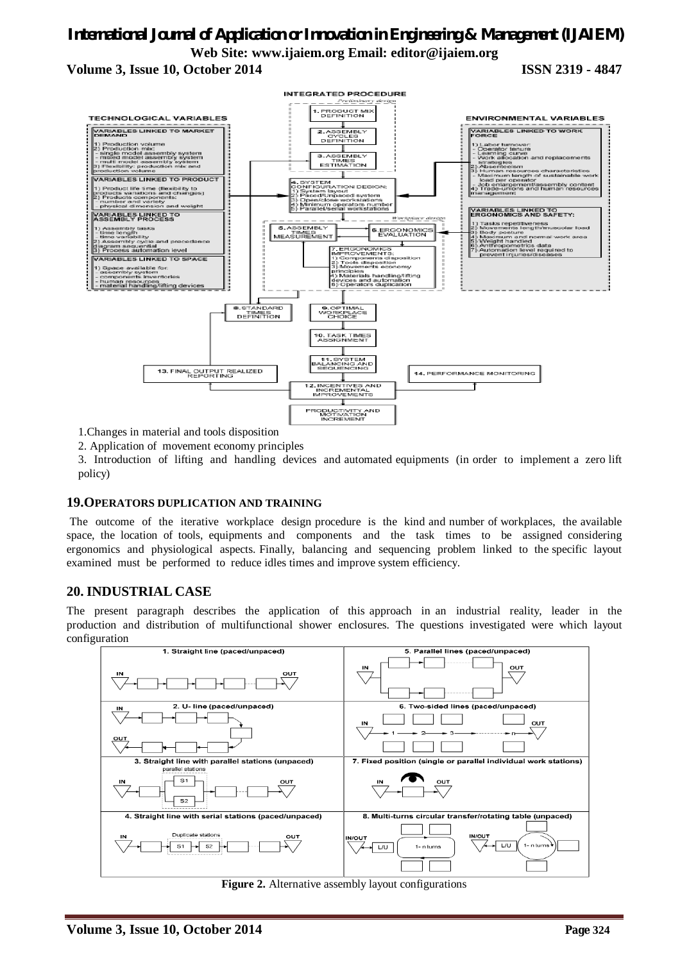

1.Changes in material and tools disposition

2. Application of movement economy principles

3. Introduction of lifting and handling devices and automated equipments (in order to implement a zero lift policy)

#### **19.OPERATORS DUPLICATION AND TRAINING**

The outcome of the iterative workplace design procedure is the kind and number of workplaces, the available space, the location of tools, equipments and components and the task times to be assigned considering ergonomics and physiological aspects. Finally, balancing and sequencing problem linked to the specific layout examined must be performed to reduce idles times and improve system efficiency.

### **20. INDUSTRIAL CASE**

The present paragraph describes the application of this approach in an industrial reality, leader in the production and distribution of multifunctional shower enclosures. The questions investigated were which layout configuration



**Figure 2.** Alternative assembly layout configurations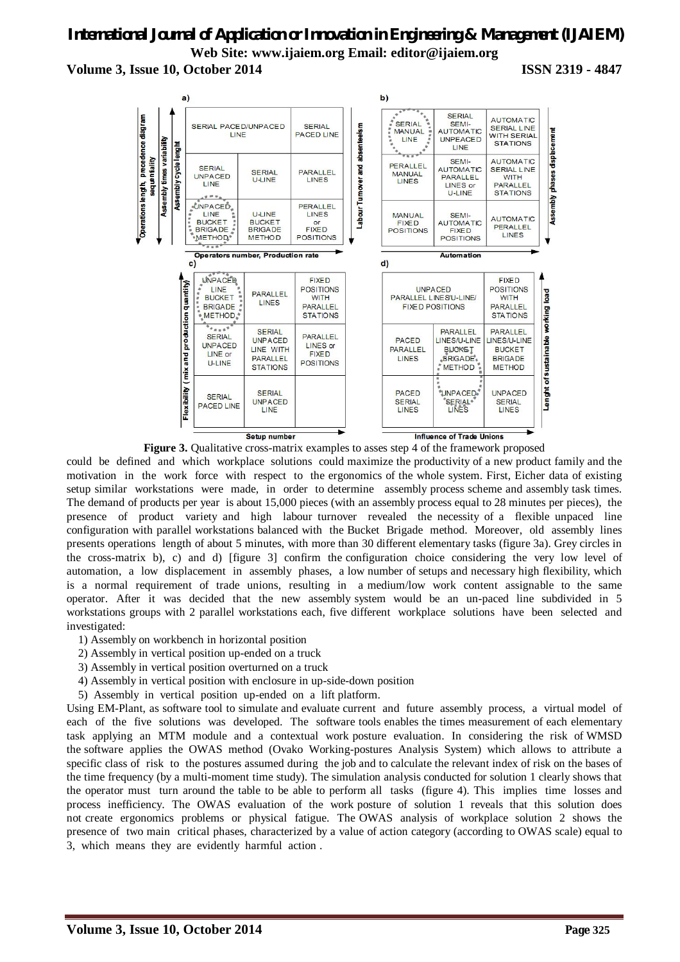# *International Journal of Application or Innovation in Engineering & Management (IJAIEM)* **Web Site: www.ijaiem.org Email: editor@ijaiem.org**

**Volume 3, Issue 10, October 2014 ISSN 2319 - 4847**



**Figure 3.** Qualitative cross-matrix examples to asses step 4 of the framework proposed

could be defined and which workplace solutions could maximize the productivity of a new product family and the motivation in the work force with respect to the ergonomics of the whole system. First, Eicher data of existing setup similar workstations were made, in order to determine assembly process scheme and assembly task times. The demand of products per year is about 15,000 pieces (with an assembly process equal to 28 minutes per pieces), the presence of product variety and high labour turnover revealed the necessity of a flexible unpaced line configuration with parallel workstations balanced with the Bucket Brigade method. Moreover, old assembly lines presents operations length of about 5 minutes, with more than 30 different elementary tasks (figure 3a). Grey circles in the cross-matrix b), c) and d) [figure 3] confirm the configuration choice considering the very low level of automation, a low displacement in assembly phases, a low number of setups and necessary high flexibility, which is a normal requirement of trade unions, resulting in a medium/low work content assignable to the same operator. After it was decided that the new assembly system would be an un-paced line subdivided in 5 workstations groups with 2 parallel workstations each, five different workplace solutions have been selected and investigated:

- 1) Assembly on workbench in horizontal position
- 2) Assembly in vertical position up-ended on a truck
- 3) Assembly in vertical position overturned on a truck
- 4) Assembly in vertical position with enclosure in up-side-down position
- 5) Assembly in vertical position up-ended on a lift platform.

Using EM-Plant, as software tool to simulate and evaluate current and future assembly process, a virtual model of each of the five solutions was developed. The software tools enables the times measurement of each elementary task applying an MTM module and a contextual work posture evaluation. In considering the risk of WMSD the software applies the OWAS method (Ovako Working-postures Analysis System) which allows to attribute a specific class of risk to the postures assumed during the job and to calculate the relevant index of risk on the bases of the time frequency (by a multi-moment time study). The simulation analysis conducted for solution 1 clearly shows that the operator must turn around the table to be able to perform all tasks (figure 4). This implies time losses and process inefficiency. The OWAS evaluation of the work posture of solution 1 reveals that this solution does not create ergonomics problems or physical fatigue. The OWAS analysis of workplace solution 2 shows the presence of two main critical phases, characterized by a value of action category (according to OWAS scale) equal to 3, which means they are evidently harmful action .